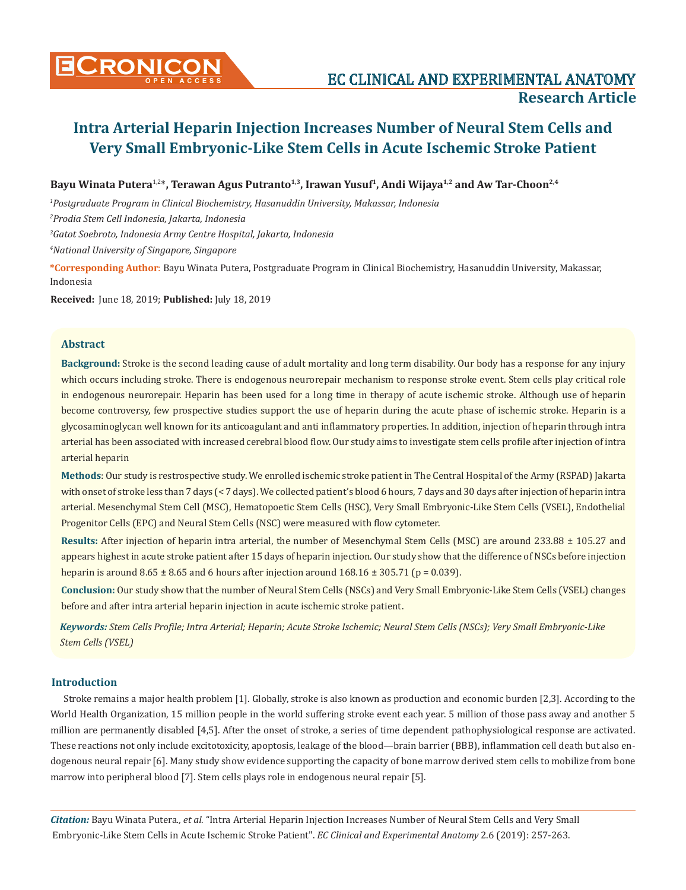

**Bayu Winata Putera**1,2\***, Terawan Agus Putranto1,3, Irawan Yusuf1, Andi Wijaya1,2 and Aw Tar-Choon2,4**

*1 Postgraduate Program in Clinical Biochemistry, Hasanuddin University, Makassar, Indonesia*

*2 Prodia Stem Cell Indonesia, Jakarta, Indonesia*

*3 Gatot Soebroto, Indonesia Army Centre Hospital, Jakarta, Indonesia*

*4 National University of Singapore, Singapore*

**\*Corresponding Author**: Bayu Winata Putera, Postgraduate Program in Clinical Biochemistry, Hasanuddin University, Makassar, Indonesia

**Received:** June 18, 2019; **Published:** July 18, 2019

#### **Abstract**

**Background:** Stroke is the second leading cause of adult mortality and long term disability. Our body has a response for any injury which occurs including stroke. There is endogenous neurorepair mechanism to response stroke event. Stem cells play critical role in endogenous neurorepair. Heparin has been used for a long time in therapy of acute ischemic stroke. Although use of heparin become controversy, few prospective studies support the use of heparin during the acute phase of ischemic stroke. Heparin is a glycosaminoglycan well known for its anticoagulant and anti inflammatory properties. In addition, injection of heparin through intra arterial has been associated with increased cerebral blood flow. Our study aims to investigate stem cells profile after injection of intra arterial heparin

**Methods**: Our study is restrospective study. We enrolled ischemic stroke patient in The Central Hospital of the Army (RSPAD) Jakarta with onset of stroke less than 7 days (< 7 days). We collected patient's blood 6 hours, 7 days and 30 days after injection of heparin intra arterial. Mesenchymal Stem Cell (MSC), Hematopoetic Stem Cells (HSC), Very Small Embryonic-Like Stem Cells (VSEL), Endothelial Progenitor Cells (EPC) and Neural Stem Cells (NSC) were measured with flow cytometer.

**Results:** After injection of heparin intra arterial, the number of Mesenchymal Stem Cells (MSC) are around 233.88 ± 105.27 and appears highest in acute stroke patient after 15 days of heparin injection. Our study show that the difference of NSCs before injection heparin is around  $8.65 \pm 8.65$  and 6 hours after injection around  $168.16 \pm 305.71$  (p = 0.039).

**Conclusion:** Our study show that the number of Neural Stem Cells (NSCs) and Very Small Embryonic-Like Stem Cells (VSEL) changes before and after intra arterial heparin injection in acute ischemic stroke patient.

*Keywords: Stem Cells Profile; Intra Arterial; Heparin; Acute Stroke Ischemic; Neural Stem Cells (NSCs); Very Small Embryonic-Like Stem Cells (VSEL)*

#### **Introduction**

Stroke remains a major health problem [1]. Globally, stroke is also known as production and economic burden [2,3]. According to the World Health Organization, 15 million people in the world suffering stroke event each year. 5 million of those pass away and another 5 million are permanently disabled [4,5]. After the onset of stroke, a series of time dependent pathophysiological response are activated. These reactions not only include excitotoxicity, apoptosis, leakage of the blood—brain barrier (BBB), inflammation cell death but also endogenous neural repair [6]. Many study show evidence supporting the capacity of bone marrow derived stem cells to mobilize from bone marrow into peripheral blood [7]. Stem cells plays role in endogenous neural repair [5].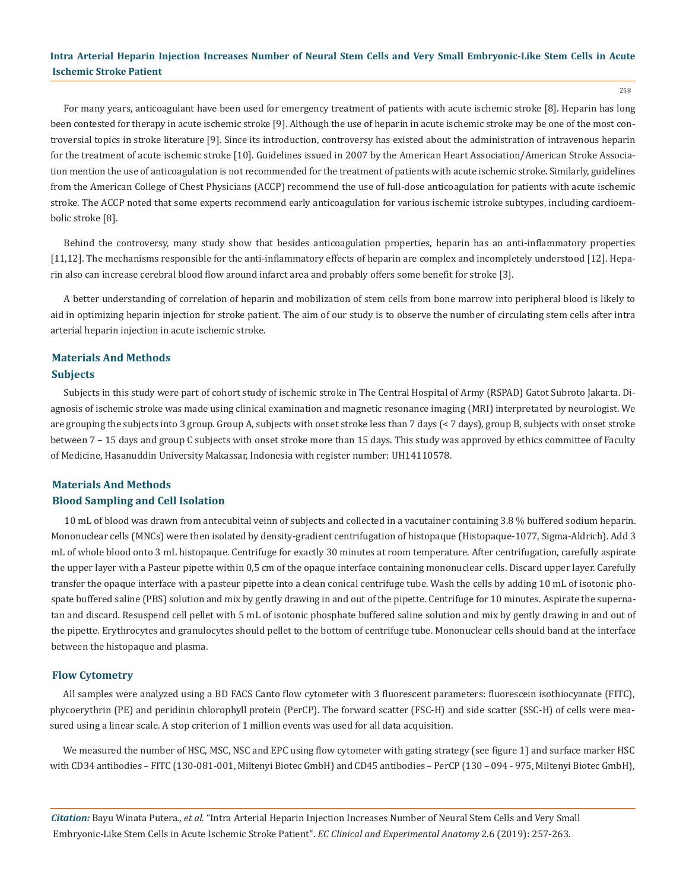For many years, anticoagulant have been used for emergency treatment of patients with acute ischemic stroke [8]. Heparin has long been contested for therapy in acute ischemic stroke [9]. Although the use of heparin in acute ischemic stroke may be one of the most controversial topics in stroke literature [9]. Since its introduction, controversy has existed about the administration of intravenous heparin for the treatment of acute ischemic stroke [10]. Guidelines issued in 2007 by the American Heart Association/American Stroke Association mention the use of anticoagulation is not recommended for the treatment of patients with acute ischemic stroke. Similarly, guidelines from the American College of Chest Physicians (ACCP) recommend the use of full-dose anticoagulation for patients with acute ischemic stroke. The ACCP noted that some experts recommend early anticoagulation for various ischemic istroke subtypes, including cardioembolic stroke [8].

Behind the controversy, many study show that besides anticoagulation properties, heparin has an anti-inflammatory properties [11,12]. The mechanisms responsible for the anti-inflammatory effects of heparin are complex and incompletely understood [12]. Heparin also can increase cerebral blood flow around infarct area and probably offers some benefit for stroke [3].

A better understanding of correlation of heparin and mobilization of stem cells from bone marrow into peripheral blood is likely to aid in optimizing heparin injection for stroke patient. The aim of our study is to observe the number of circulating stem cells after intra arterial heparin injection in acute ischemic stroke.

# **Materials And Methods Subjects**

Subjects in this study were part of cohort study of ischemic stroke in The Central Hospital of Army (RSPAD) Gatot Subroto Jakarta. Diagnosis of ischemic stroke was made using clinical examination and magnetic resonance imaging (MRI) interpretated by neurologist. We are grouping the subjects into 3 group. Group A, subjects with onset stroke less than 7 days (< 7 days), group B, subjects with onset stroke between 7 – 15 days and group C subjects with onset stroke more than 15 days. This study was approved by ethics committee of Faculty of Medicine, Hasanuddin University Makassar, Indonesia with register number: UH14110578.

# **Materials And Methods Blood Sampling and Cell Isolation**

10 mL of blood was drawn from antecubital veinn of subjects and collected in a vacutainer containing 3.8 % buffered sodium heparin. Mononuclear cells (MNCs) were then isolated by density-gradient centrifugation of histopaque (Histopaque-1077, Sigma-Aldrich). Add 3 mL of whole blood onto 3 mL histopaque. Centrifuge for exactly 30 minutes at room temperature. After centrifugation, carefully aspirate the upper layer with a Pasteur pipette within 0,5 cm of the opaque interface containing mononuclear cells. Discard upper layer. Carefully transfer the opaque interface with a pasteur pipette into a clean conical centrifuge tube. Wash the cells by adding 10 mL of isotonic phospate buffered saline (PBS) solution and mix by gently drawing in and out of the pipette. Centrifuge for 10 minutes. Aspirate the supernatan and discard. Resuspend cell pellet with 5 mL of isotonic phosphate buffered saline solution and mix by gently drawing in and out of the pipette. Erythrocytes and granulocytes should pellet to the bottom of centrifuge tube. Mononuclear cells should band at the interface between the histopaque and plasma.

# **Flow Cytometry**

All samples were analyzed using a BD FACS Canto flow cytometer with 3 fluorescent parameters: fluorescein isothiocyanate (FITC), phycoerythrin (PE) and peridinin chlorophyll protein (PerCP). The forward scatter (FSC-H) and side scatter (SSC-H) of cells were measured using a linear scale. A stop criterion of 1 million events was used for all data acquisition.

We measured the number of HSC, MSC, NSC and EPC using flow cytometer with gating strategy (see figure 1) and surface marker HSC with CD34 antibodies – FITC (130-081-001, Miltenyi Biotec GmbH) and CD45 antibodies – PerCP (130 – 094 - 975, Miltenyi Biotec GmbH),

*Citation:* Bayu Winata Putera*., et al.* "Intra Arterial Heparin Injection Increases Number of Neural Stem Cells and Very Small Embryonic-Like Stem Cells in Acute Ischemic Stroke Patient". *EC Clinical and Experimental Anatomy* 2.6 (2019): 257-263.

258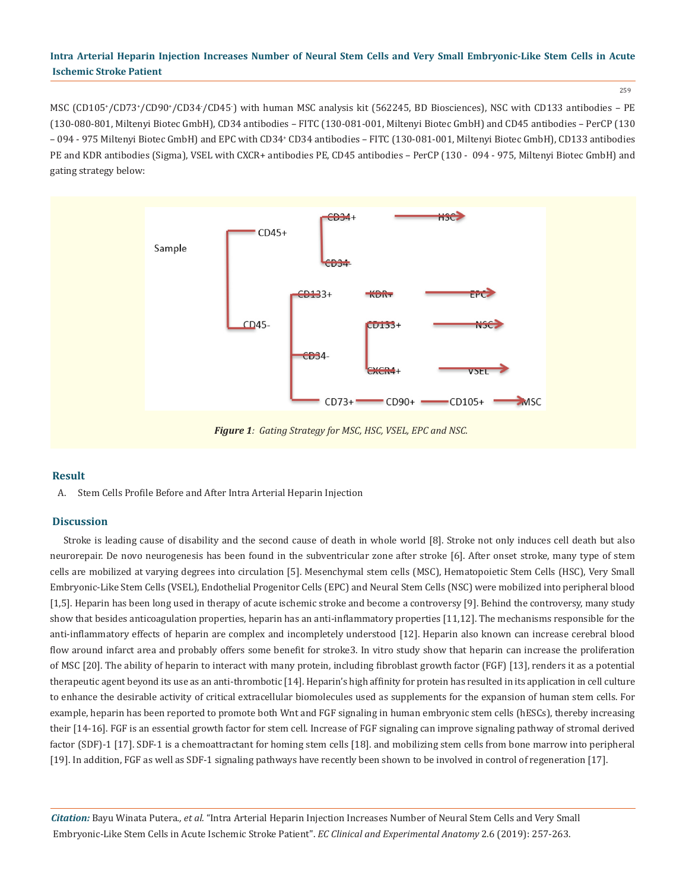259

MSC (CD105\*/CD73\*/CD90\*/CD34·/CD45<sup>-</sup>) with human MSC analysis kit (562245, BD Biosciences), NSC with CD133 antibodies – PE (130-080-801, Miltenyi Biotec GmbH), CD34 antibodies – FITC (130-081-001, Miltenyi Biotec GmbH) and CD45 antibodies – PerCP (130 – 094 - 975 Miltenyi Biotec GmbH) and EPC with CD34\* CD34 antibodies – FITC (130-081-001, Miltenyi Biotec GmbH), CD133 antibodies PE and KDR antibodies (Sigma), VSEL with CXCR+ antibodies PE, CD45 antibodies – PerCP (130 - 094 - 975, Miltenyi Biotec GmbH) and gating strategy below:



# **Result**

A. Stem Cells Profile Before and After Intra Arterial Heparin Injection

# **Discussion**

Stroke is leading cause of disability and the second cause of death in whole world [8]. Stroke not only induces cell death but also neurorepair. De novo neurogenesis has been found in the subventricular zone after stroke [6]. After onset stroke, many type of stem cells are mobilized at varying degrees into circulation [5]. Mesenchymal stem cells (MSC), Hematopoietic Stem Cells (HSC), Very Small Embryonic-Like Stem Cells (VSEL), Endothelial Progenitor Cells (EPC) and Neural Stem Cells (NSC) were mobilized into peripheral blood [1,5]. Heparin has been long used in therapy of acute ischemic stroke and become a controversy [9]. Behind the controversy, many study show that besides anticoagulation properties, heparin has an anti-inflammatory properties [11,12]. The mechanisms responsible for the anti-inflammatory effects of heparin are complex and incompletely understood [12]. Heparin also known can increase cerebral blood flow around infarct area and probably offers some benefit for stroke3. In vitro study show that heparin can increase the proliferation of MSC [20]. The ability of heparin to interact with many protein, including fibroblast growth factor (FGF) [13], renders it as a potential therapeutic agent beyond its use as an anti-thrombotic [14]. Heparin's high affinity for protein has resulted in its application in cell culture to enhance the desirable activity of critical extracellular biomolecules used as supplements for the expansion of human stem cells. For example, heparin has been reported to promote both Wnt and FGF signaling in human embryonic stem cells (hESCs), thereby increasing their [14-16]. FGF is an essential growth factor for stem cell. Increase of FGF signaling can improve signaling pathway of stromal derived factor (SDF)-1 [17]. SDF-1 is a chemoattractant for homing stem cells [18]. and mobilizing stem cells from bone marrow into peripheral [19]. In addition, FGF as well as SDF-1 signaling pathways have recently been shown to be involved in control of regeneration [17].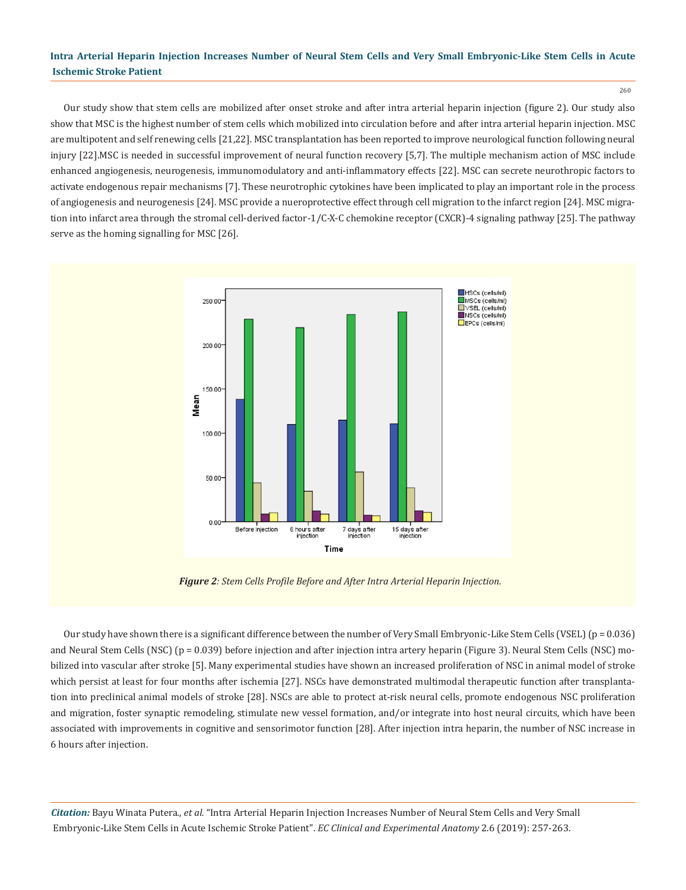260

Our study show that stem cells are mobilized after onset stroke and after intra arterial heparin injection (figure 2). Our study also show that MSC is the highest number of stem cells which mobilized into circulation before and after intra arterial heparin injection. MSC are multipotent and self renewing cells [21,22]. MSC transplantation has been reported to improve neurological function following neural injury [22].MSC is needed in successful improvement of neural function recovery [5,7]. The multiple mechanism action of MSC include enhanced angiogenesis, neurogenesis, immunomodulatory and anti-inflammatory effects [22]. MSC can secrete neurothropic factors to activate endogenous repair mechanisms [7]. These neurotrophic cytokines have been implicated to play an important role in the process of angiogenesis and neurogenesis [24]. MSC provide a nueroprotective effect through cell migration to the infarct region [24]. MSC migration into infarct area through the stromal cell-derived factor-1/C-X-C chemokine receptor (CXCR)-4 signaling pathway [25]. The pathway serve as the homing signalling for MSC [26].



*Figure 2: Stem Cells Profile Before and After Intra Arterial Heparin Injection.*

Our study have shown there is a significant difference between the number of Very Small Embryonic-Like Stem Cells (VSEL) ( $p = 0.036$ ) and Neural Stem Cells (NSC) (p = 0.039) before injection and after injection intra artery heparin (Figure 3). Neural Stem Cells (NSC) mobilized into vascular after stroke [5]. Many experimental studies have shown an increased proliferation of NSC in animal model of stroke which persist at least for four months after ischemia [27]. NSCs have demonstrated multimodal therapeutic function after transplantation into preclinical animal models of stroke [28]. NSCs are able to protect at-risk neural cells, promote endogenous NSC proliferation and migration, foster synaptic remodeling, stimulate new vessel formation, and/or integrate into host neural circuits, which have been associated with improvements in cognitive and sensorimotor function [28]. After injection intra heparin, the number of NSC increase in 6 hours after injection.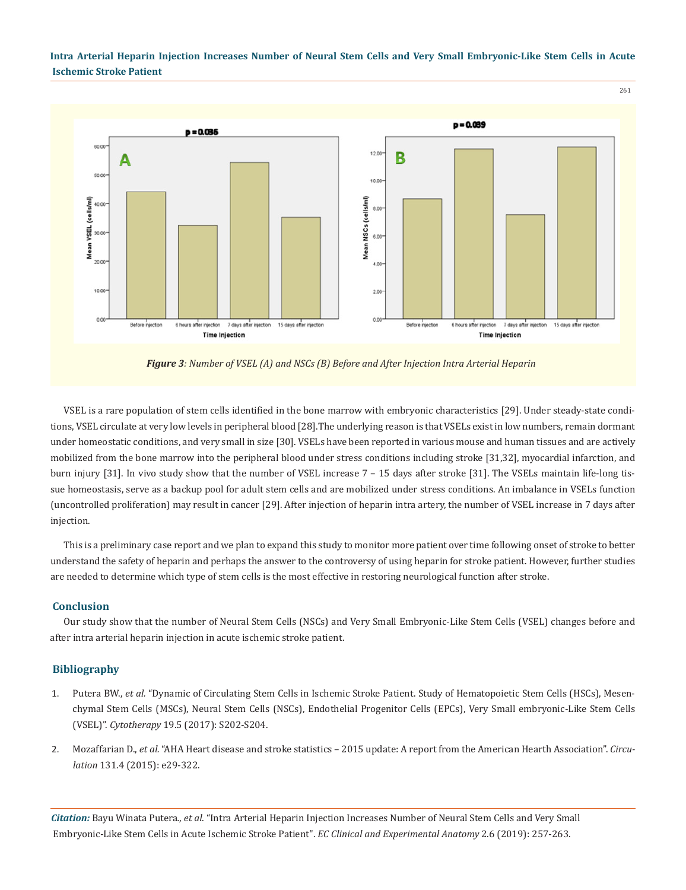

*Figure 3: Number of VSEL (A) and NSCs (B) Before and After Injection Intra Arterial Heparin*

VSEL is a rare population of stem cells identified in the bone marrow with embryonic characteristics [29]. Under steady-state conditions, VSEL circulate at very low levels in peripheral blood [28].The underlying reason is that VSELs exist in low numbers, remain dormant under homeostatic conditions, and very small in size [30]. VSELs have been reported in various mouse and human tissues and are actively mobilized from the bone marrow into the peripheral blood under stress conditions including stroke [31,32], myocardial infarction, and burn injury [31]. In vivo study show that the number of VSEL increase 7 – 15 days after stroke [31]. The VSELs maintain life-long tissue homeostasis, serve as a backup pool for adult stem cells and are mobilized under stress conditions. An imbalance in VSELs function (uncontrolled proliferation) may result in cancer [29]. After injection of heparin intra artery, the number of VSEL increase in 7 days after injection.

This is a preliminary case report and we plan to expand this study to monitor more patient over time following onset of stroke to better understand the safety of heparin and perhaps the answer to the controversy of using heparin for stroke patient. However, further studies are needed to determine which type of stem cells is the most effective in restoring neurological function after stroke.

#### **Conclusion**

Our study show that the number of Neural Stem Cells (NSCs) and Very Small Embryonic-Like Stem Cells (VSEL) changes before and after intra arterial heparin injection in acute ischemic stroke patient.

#### **Bibliography**

- 1. Putera BW., *et al.* ["Dynamic of Circulating Stem Cells in Ischemic Stroke Patient. Study of Hematopoietic Stem Cells \(HSCs\), Mesen](https://www.celltherapyjournal.org/article/S1465-3249(17)30416-4/abstract)[chymal Stem Cells \(MSCs\), Neural Stem Cells \(NSCs\), Endothelial Progenitor Cells \(EPCs\), Very Small embryonic-Like Stem Cells](https://www.celltherapyjournal.org/article/S1465-3249(17)30416-4/abstract) (VSEL)". *Cytotherapy* 19.5 [\(2017\): S202-S204.](https://www.celltherapyjournal.org/article/S1465-3249(17)30416-4/abstract)
- 2. Mozaffarian D., *et al.* ["AHA Heart disease and stroke statistics 2015 update: A report from the American Hearth Association".](https://www.ncbi.nlm.nih.gov/pubmed/25520374) *Circulation* [131.4 \(2015\): e29-322.](https://www.ncbi.nlm.nih.gov/pubmed/25520374)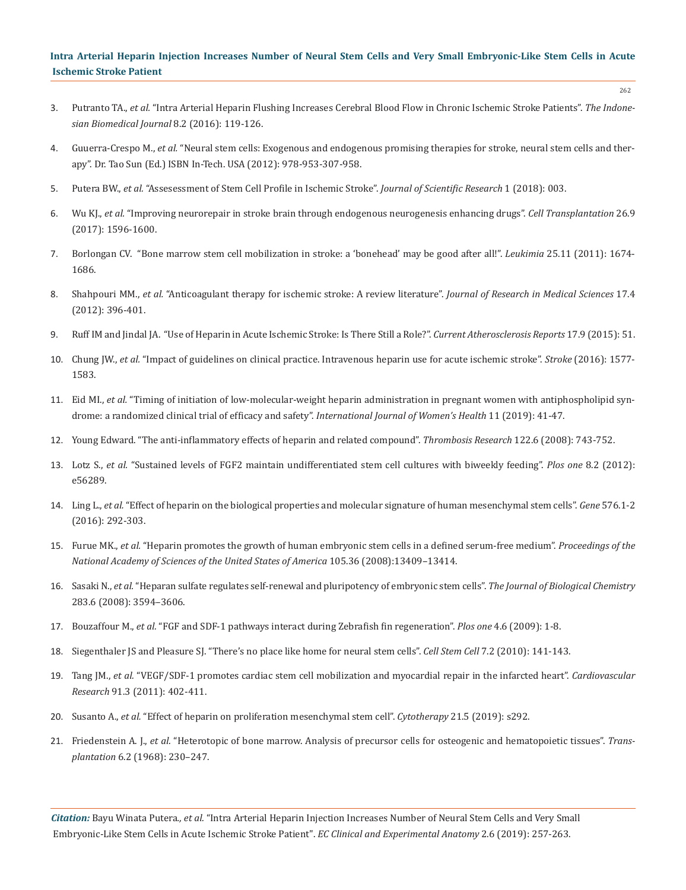- 3. Putranto TA., *et al.* ["Intra Arterial Heparin Flushing Increases Cerebral Blood Flow in Chronic Ischemic Stroke Patients".](https://inabj.org/index.php/ibj/article/view/204) *The Indone[sian Biomedical Journal](https://inabj.org/index.php/ibj/article/view/204)* 8.2 (2016): 119-126.
- 4. Guuerra-Crespo M., *et al.* ["Neural stem cells: Exogenous and endogenous promising therapies for stroke, neural stem cells and ther](https://www.intechopen.com/books/neural-stem-cells-and-therapy/neural-stem-cells-exogenous-and-endogenous-promising-therapies-for-stroke)[apy". Dr. Tao Sun \(Ed.\) ISBN In-Tech. USA \(2012\): 978-953-307-958.](https://www.intechopen.com/books/neural-stem-cells-and-therapy/neural-stem-cells-exogenous-and-endogenous-promising-therapies-for-stroke)
- 5. Putera BW., *et al.* ["Assesessment of Stem Cell Profile in Ischemic Stroke".](http://www.heraldopenaccess.us/fulltext/Translational-Science-and-Research/Assessment-of-Stem-Cell-Profile-in-Ischemic-Stroke.pdf) *Journal of Scientific Research* 1 (2018): 003.
- 6. Wu KJ., *et al.* ["Improving neurorepair in stroke brain through endogenous neurogenesis enhancing drugs".](https://www.ncbi.nlm.nih.gov/pubmed/29113469) *Cell Transplantation* 26.9 [\(2017\): 1596-1600.](https://www.ncbi.nlm.nih.gov/pubmed/29113469)
- 7. [Borlongan CV. "Bone marrow stem cell mobilization in stroke: a 'bonehead' may be good after all!".](https://www.ncbi.nlm.nih.gov/pmc/articles/PMC3291108/) *Leukimia* 25.11 (2011): 1674- [1686.](https://www.ncbi.nlm.nih.gov/pmc/articles/PMC3291108/)
- 8. Shahpouri MM., *et al.* ["Anticoagulant therapy for ischemic stroke: A review literature".](https://www.ncbi.nlm.nih.gov/pubmed/23267405) *Journal of Research in Medical Sciences* 17.4 [\(2012\): 396-401.](https://www.ncbi.nlm.nih.gov/pubmed/23267405)
- 9. [Ruff IM and Jindal JA. "Use of Heparin in Acute Ischemic Stroke: Is There Still a Role?".](https://www.ncbi.nlm.nih.gov/pubmed/26194057) *Current Atherosclerosis Reports* 17.9 (2015): 51.
- 10. Chung JW., *et al.* ["Impact of guidelines on clinical practice. Intravenous heparin use for acute ischemic stroke".](https://www.ncbi.nlm.nih.gov/pubmed/27118793) *Stroke* (2016): 1577- [1583.](https://www.ncbi.nlm.nih.gov/pubmed/27118793)
- 11. Eid MI., *et al.* ["Timing of initiation of low-molecular-weight heparin administration in pregnant women with antiphospholipid syn](https://www.ncbi.nlm.nih.gov/pubmed/30666167)[drome: a randomized clinical trial of efficacy and safety".](https://www.ncbi.nlm.nih.gov/pubmed/30666167) *International Journal of Women's Health* 11 (2019): 41-47.
- 12. [Young Edward. "The anti-inflammatory effects of heparin and related compound".](https://www.ncbi.nlm.nih.gov/pubmed/17727922) *Thrombosis Research* 122.6 (2008): 743-752.
- 13. Lotz S., *et al.* ["Sustained levels of FGF2 maintain undifferentiated stem cell cultures with biweekly feeding".](https://www.ncbi.nlm.nih.gov/pubmed/23437109) *Plos one* 8.2 (2012): [e56289.](https://www.ncbi.nlm.nih.gov/pubmed/23437109)
- 14. Ling L., *et al.* ["Effect of heparin on the biological properties and molecular signature of human mesenchymal stem cells".](https://www.ncbi.nlm.nih.gov/pubmed/26484394) *Gene* 576.1-2 [\(2016\): 292-303.](https://www.ncbi.nlm.nih.gov/pubmed/26484394)
- 15. Furue MK., *et al.* ["Heparin promotes the growth of human embryonic stem cells in a defined serum-free medium".](https://www.ncbi.nlm.nih.gov/pmc/articles/PMC2522264/) *Proceedings of the [National Academy of Sciences of the United States of America](https://www.ncbi.nlm.nih.gov/pmc/articles/PMC2522264/)* 105.36 (2008):13409–13414.
- 16. Sasaki N., *et al.* ["Heparan sulfate regulates self-renewal and pluripotency of embryonic stem cells".](https://www.ncbi.nlm.nih.gov/pubmed/18024963) *The Journal of Biological Chemistry*  [283.6 \(2008\): 3594–3606.](https://www.ncbi.nlm.nih.gov/pubmed/18024963)
- 17. Bouzaffour M., *et al.* ["FGF and SDF-1 pathways interact during Zebrafish fin regeneration".](https://journals.plos.org/plosone/article?id=10.1371/journal.pone.0005824) *Plos one* 4.6 (2009): 1-8.
- 18. [Siegenthaler JS and Pleasure SJ. "There's no place like home for neural stem cells".](https://www.ncbi.nlm.nih.gov/pubmed/20682440) *Cell Stem Cell* 7.2 (2010): 141-143.
- 19. Tang JM., *et al.* ["VEGF/SDF-1 promotes cardiac stem cell mobilization and myocardial repair in the infarcted heart".](https://www.ncbi.nlm.nih.gov/pubmed/21345805) *Cardiovascular Research* [91.3 \(2011\): 402-411.](https://www.ncbi.nlm.nih.gov/pubmed/21345805)
- 20. Susanto A., *et al.* ["Effect of heparin on proliferation mesenchymal stem cell".](https://www.sciencedirect.com/science/article/abs/pii/S1465324919306668) *Cytotherapy* 21.5 (2019): s292.
- 21. Friedenstein A. J., *et al.* ["Heterotopic of bone marrow. Analysis of precursor cells for osteogenic and hematopoietic tissues".](https://www.ncbi.nlm.nih.gov/pubmed/5654088) *Transplantation* [6.2 \(1968\): 230–247.](https://www.ncbi.nlm.nih.gov/pubmed/5654088)

*Citation:* Bayu Winata Putera*., et al.* "Intra Arterial Heparin Injection Increases Number of Neural Stem Cells and Very Small Embryonic-Like Stem Cells in Acute Ischemic Stroke Patient". *EC Clinical and Experimental Anatomy* 2.6 (2019): 257-263.

262